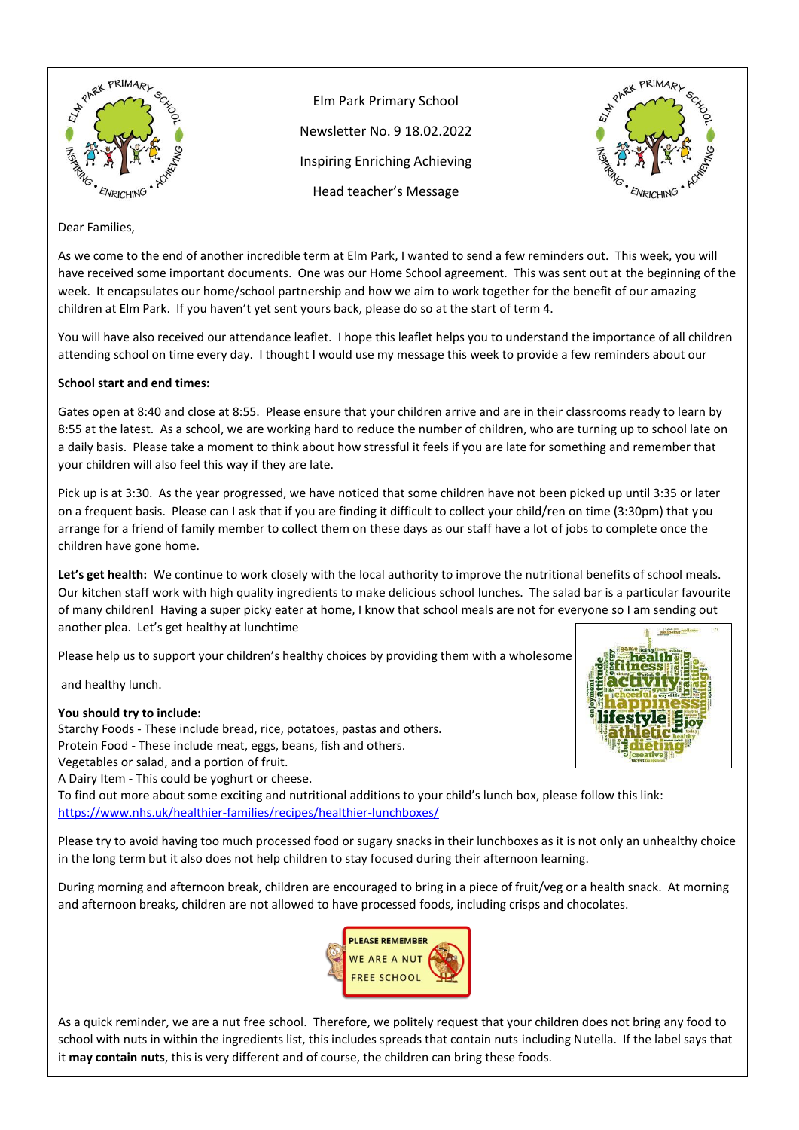

Elm Park Primary School Newsletter No. 9 18.02.2022 Inspiring Enriching Achieving Head teacher's Message



## Dear Families,

As we come to the end of another incredible term at Elm Park, I wanted to send a few reminders out. This week, you will have received some important documents. One was our Home School agreement. This was sent out at the beginning of the week. It encapsulates our home/school partnership and how we aim to work together for the benefit of our amazing children at Elm Park. If you haven't yet sent yours back, please do so at the start of term 4.

You will have also received our attendance leaflet. I hope this leaflet helps you to understand the importance of all children attending school on time every day. I thought I would use my message this week to provide a few reminders about our

### **School start and end times:**

Gates open at 8:40 and close at 8:55. Please ensure that your children arrive and are in their classrooms ready to learn by 8:55 at the latest. As a school, we are working hard to reduce the number of children, who are turning up to school late on a daily basis. Please take a moment to think about how stressful it feels if you are late for something and remember that your children will also feel this way if they are late.

Pick up is at 3:30. As the year progressed, we have noticed that some children have not been picked up until 3:35 or later on a frequent basis. Please can I ask that if you are finding it difficult to collect your child/ren on time (3:30pm) that you arrange for a friend of family member to collect them on these days as our staff have a lot of jobs to complete once the children have gone home.

**Let's get health:** We continue to work closely with the local authority to improve the nutritional benefits of school meals. Our kitchen staff work with high quality ingredients to make delicious school lunches. The salad bar is a particular favourite of many children! Having a super picky eater at home, I know that school meals are not for everyone so I am sending out another plea. Let's get healthy at lunchtime

Please help us to support your children's healthy choices by providing them with a wholesome

and healthy lunch.

#### **You should try to include:**

 Starchy Foods - These include bread, rice, potatoes, pastas and others. Protein Food - These include meat, eggs, beans, fish and others. Vegetables or salad, and a portion of fruit. A Dairy Item - This could be yoghurt or cheese.

To find out more about some exciting and nutritional additions to your child's lunch box, please follow this link: <https://www.nhs.uk/healthier-families/recipes/healthier-lunchboxes/>

Please try to avoid having too much processed food or sugary snacks in their lunchboxes as it is not only an unhealthy choice in the long term but it also does not help children to stay focused during their afternoon learning.

During morning and afternoon break, children are encouraged to bring in a piece of fruit/veg or a health snack. At morning and afternoon breaks, children are not allowed to have processed foods, including crisps and chocolates.



As a quick reminder, we are a nut free school. Therefore, we politely request that your children does not bring any food to school with nuts in within the ingredients list, this includes spreads that contain nuts including Nutella. If the label says that it **may contain nuts**, this is very different and of course, the children can bring these foods.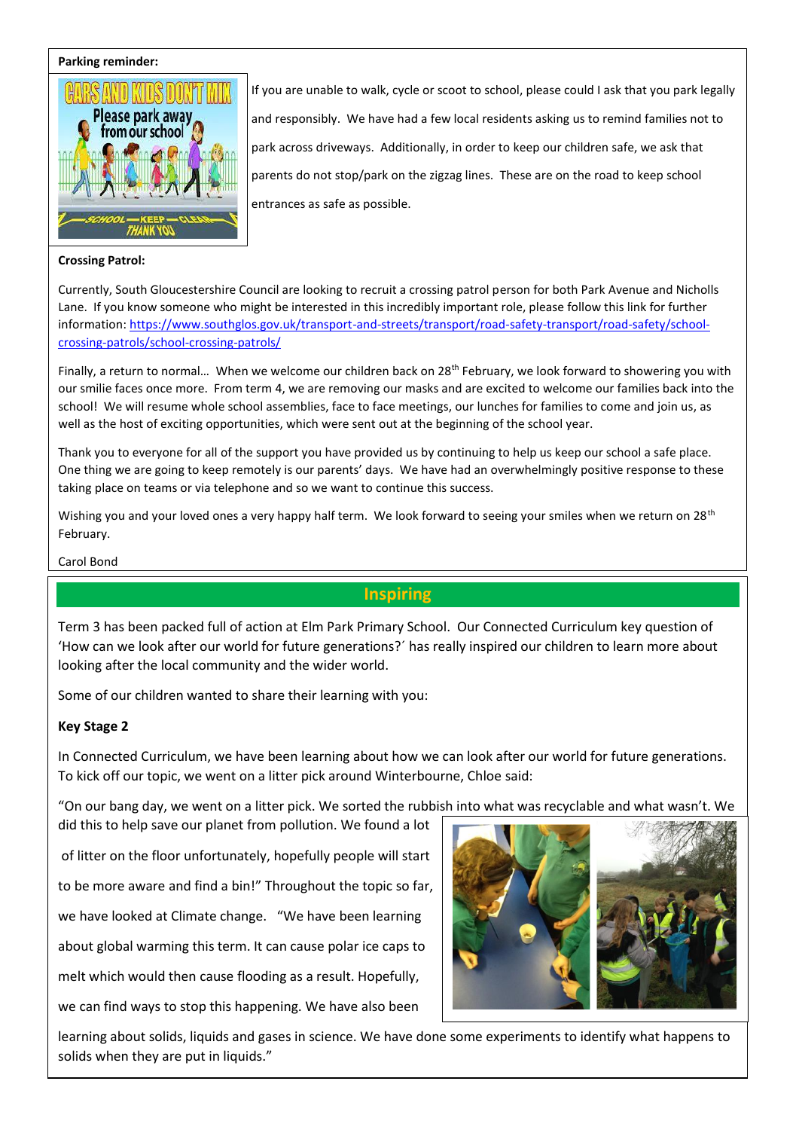#### **Parking reminder:**



#### **Crossing Patrol:**

If you are unable to walk, cycle or scoot to school, please could I ask that you park legally and responsibly. We have had a few local residents asking us to remind families not to park across driveways. Additionally, in order to keep our children safe, we ask that parents do not stop/park on the zigzag lines. These are on the road to keep school entrances as safe as possible.

Currently, South Gloucestershire Council are looking to recruit a crossing patrol person for both Park Avenue and Nicholls Lane. If you know someone who might be interested in this incredibly important role, please follow this link for further information[: https://www.southglos.gov.uk/transport-and-streets/transport/road-safety-transport/road-safety/school](https://www.southglos.gov.uk/transport-and-streets/transport/road-safety-transport/road-safety/school-crossing-patrols/school-crossing-patrols/)[crossing-patrols/school-crossing-patrols/](https://www.southglos.gov.uk/transport-and-streets/transport/road-safety-transport/road-safety/school-crossing-patrols/school-crossing-patrols/)

Finally, a return to normal... When we welcome our children back on  $28^{th}$  February, we look forward to showering you with our smilie faces once more. From term 4, we are removing our masks and are excited to welcome our families back into the school! We will resume whole school assemblies, face to face meetings, our lunches for families to come and join us, as well as the host of exciting opportunities, which were sent out at the beginning of the school year.

Thank you to everyone for all of the support you have provided us by continuing to help us keep our school a safe place. One thing we are going to keep remotely is our parents' days. We have had an overwhelmingly positive response to these taking place on teams or via telephone and so we want to continue this success.

Wishing you and your loved ones a very happy half term. We look forward to seeing your smiles when we return on 28<sup>th</sup> February.

Carol Bond

## **Inspiring**

Term 3 has been packed full of action at Elm Park Primary School. Our Connected Curriculum key question of 'How can we look after our world for future generations?´ has really inspired our children to learn more about looking after the local community and the wider world.

Some of our children wanted to share their learning with you:

## **Key Stage 2**

In Connected Curriculum, we have been learning about how we can look after our world for future generations. To kick off our topic, we went on a litter pick around Winterbourne, Chloe said:

"On our bang day, we went on a litter pick. We sorted the rubbish into what was recyclable and what wasn't. We did this to help save our planet from pollution. We found a lot

of litter on the floor unfortunately, hopefully people will start

to be more aware and find a bin!" Throughout the topic so far,

we have looked at Climate change. "We have been learning

about global warming this term. It can cause polar ice caps to

melt which would then cause flooding as a result. Hopefully,

we can find ways to stop this happening. We have also been



learning about solids, liquids and gases in science. We have done some experiments to identify what happens to solids when they are put in liquids."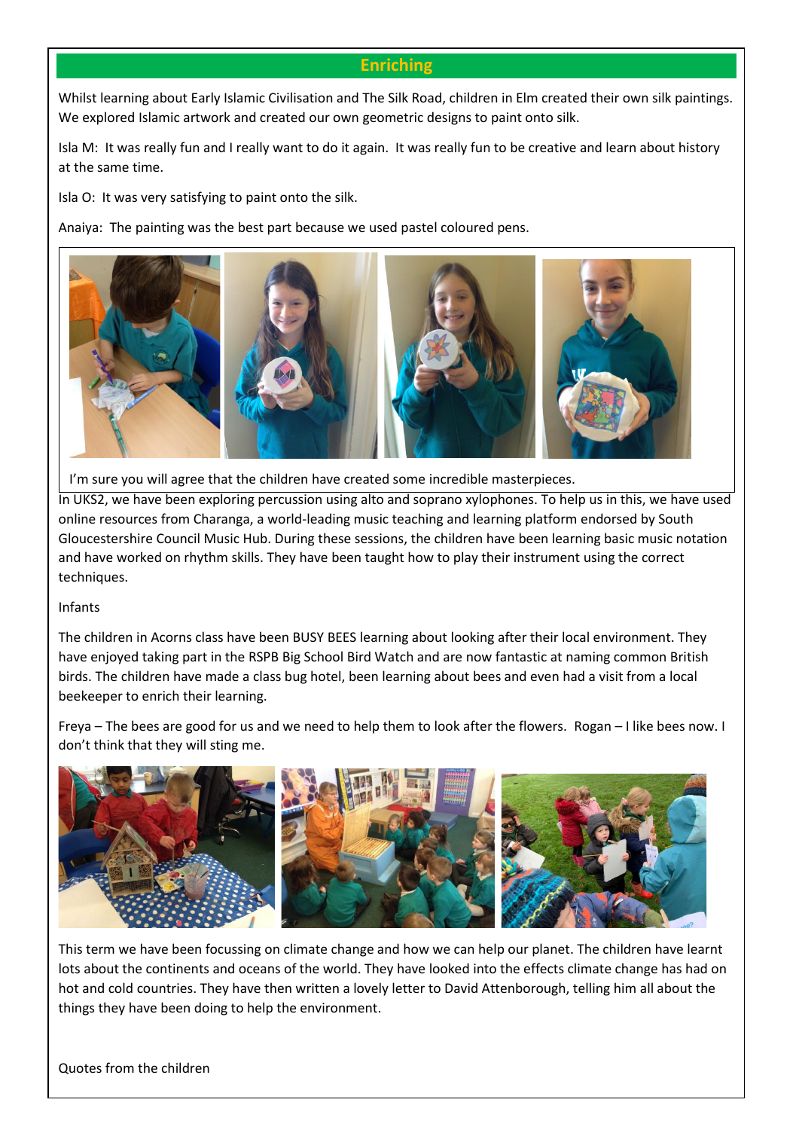## **Enriching**

Whilst learning about Early Islamic Civilisation and The Silk Road, children in Elm created their own silk paintings. We explored Islamic artwork and created our own geometric designs to paint onto silk.

Isla M: It was really fun and I really want to do it again. It was really fun to be creative and learn about history at the same time.

Isla O: It was very satisfying to paint onto the silk.

Anaiya: The painting was the best part because we used pastel coloured pens.



 $\vert$  I'm sure you will agree that the children have created some incredible masterpieces.

In UKS2, we have been exploring percussion using alto and soprano xylophones. To help us in this, we have used online resources from Charanga, a world-leading music teaching and learning platform endorsed by South Gloucestershire Council Music Hub. During these sessions, the children have been learning basic music notation and have worked on rhythm skills. They have been taught how to play their instrument using the correct techniques.

## Infants

The children in Acorns class have been BUSY BEES learning about looking after their local environment. They have enjoyed taking part in the RSPB Big School Bird Watch and are now fantastic at naming common British birds. The children have made a class bug hotel, been learning about bees and even had a visit from a local beekeeper to enrich their learning.

Freya – The bees are good for us and we need to help them to look after the flowers. Rogan – I like bees now. I don't think that they will sting me.



This term we have been focussing on climate change and how we can help our planet. The children have learnt lots about the continents and oceans of the world. They have looked into the effects climate change has had on hot and cold countries. They have then written a lovely letter to David Attenborough, telling him all about the things they have been doing to help the environment.